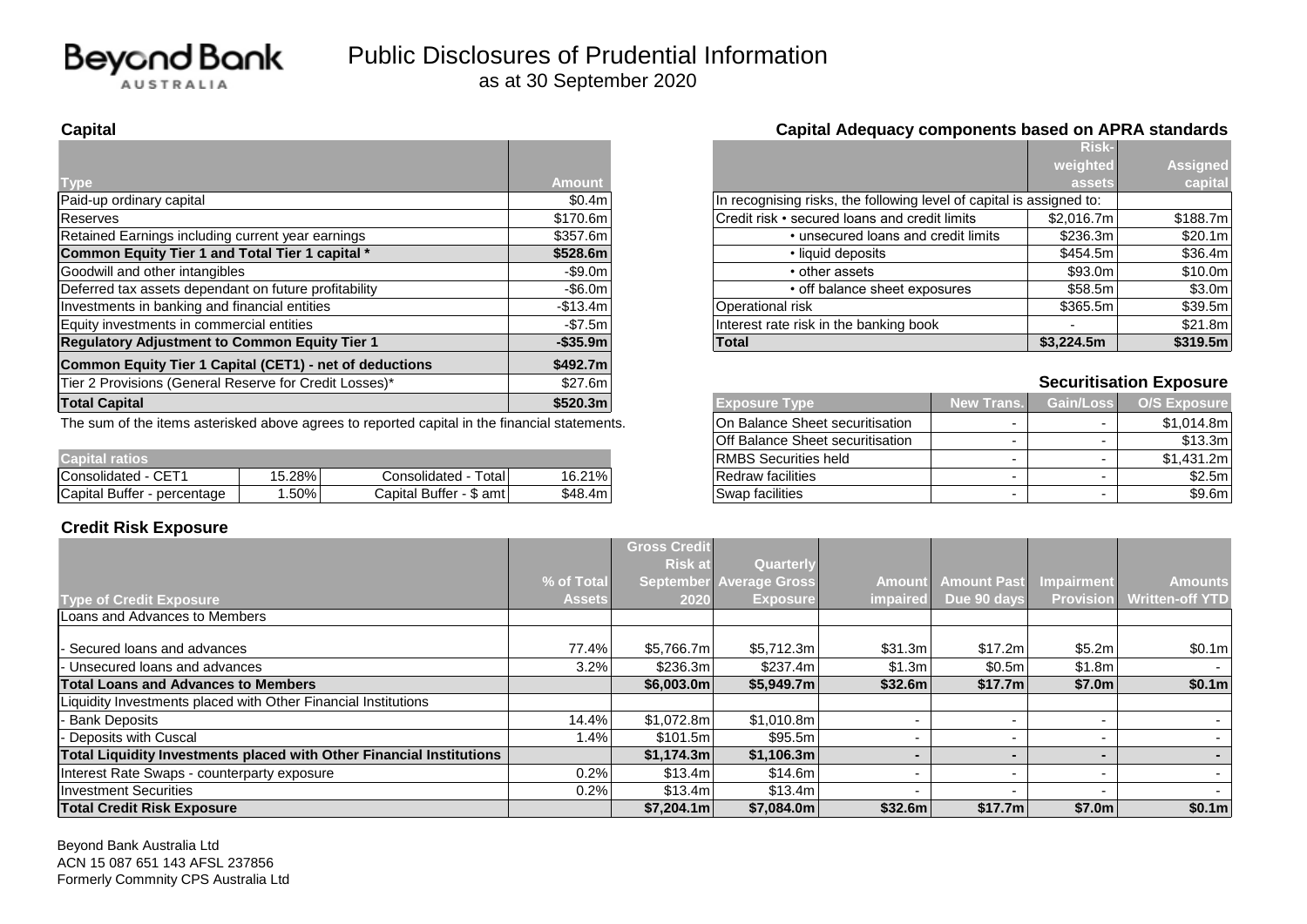

|                                                         |               |                                                                      |            | <b>RISK-</b> |                                |
|---------------------------------------------------------|---------------|----------------------------------------------------------------------|------------|--------------|--------------------------------|
|                                                         |               |                                                                      |            | weighted     | <b>Assigned</b>                |
| <b>Type</b>                                             | <b>Amount</b> |                                                                      |            | assets       | capital                        |
| Paid-up ordinary capital                                | \$0.4m        | In recognising risks, the following level of capital is assigned to: |            |              |                                |
| Reserves                                                | \$170.6m      | Credit risk • secured loans and credit limits                        |            | \$2.016.7m   | \$188.7m                       |
| Retained Earnings including current year earnings       | \$357.6m      | • unsecured loans and credit limits                                  |            | \$236.3m     | \$20.1m                        |
| Common Equity Tier 1 and Total Tier 1 capital *         | \$528.6m      | • liquid deposits                                                    |            | \$454.5m     | \$36.4m                        |
| Goodwill and other intangibles                          | $-$ \$9.0m    | • other assets                                                       |            | \$93.0m      | \$10.0m                        |
| Deferred tax assets dependant on future profitability   | $-$ \$6.0m    | • off balance sheet exposures                                        |            | \$58.5m      | \$3.0m                         |
| Investments in banking and financial entities           | $-$13.4m$     | Operational risk                                                     |            | \$365.5m     | \$39.5m                        |
| Equity investments in commercial entities               | $-$ \$7.5m    | Interest rate risk in the banking book                               |            |              | \$21.8m                        |
| <b>Regulatory Adjustment to Common Equity Tier 1</b>    | $-$ \$35.9m   | \$3.224.5m<br>Total                                                  |            |              | \$319.5m                       |
| Common Equity Tier 1 Capital (CET1) - net of deductions | \$492.7m      |                                                                      |            |              |                                |
| Tier 2 Provisions (General Reserve for Credit Losses)*  | \$27.6m       |                                                                      |            |              | <b>Securitisation Exposure</b> |
| <b>Total Capital</b>                                    | \$520.3m      | <b>Exposure Type</b>                                                 | New Trans. | Gain/Loss    | <b>O/S Exposure</b>            |
|                                                         |               | <b>.</b>                                                             |            |              |                                |

The sum of the items asterisked above agrees to reported capital in the financial statements.

|                                                      |       |                           |         |                                    |  | - - - - - - - - |
|------------------------------------------------------|-------|---------------------------|---------|------------------------------------|--|-----------------|
| <b>Capital Tatios</b>                                |       |                           |         | <b>RMBS S</b><br>i Securities held |  | 431.2m          |
| $\sim$ $ -$<br>Consolidated -<br>◡⊏                  | 5.28% | Γotal l<br>Consolidated   | 16.21%  | <b>Redraw facilities</b>           |  | \$2.5m          |
| <b>Capital Buffer</b><br>- percentage<br>$. + + - -$ | .50%  | Capital Buffer<br>\$ amt∣ | \$48.4m | Swap facilities                    |  | \$9.6m          |

#### **Credit Risk Exposure**

|           |                                                                      | <b>Risk-</b> |                 |
|-----------|----------------------------------------------------------------------|--------------|-----------------|
|           |                                                                      | weighted     | <b>Assigned</b> |
| nount     |                                                                      | assets       | capital         |
| \$0.4m    | In recognising risks, the following level of capital is assigned to: |              |                 |
| 170.6m l  | Credit risk • secured loans and credit limits                        | \$2,016.7m   | \$188.7m        |
| 357.6m l  | • unsecured loans and credit limits                                  | \$236.3m     | \$20.1ml        |
| 528.6m    | • liquid deposits                                                    | \$454.5m     | \$36.4m         |
| -\$9.0m l | • other assets                                                       | \$93.0m      | \$10.0m         |
| -\$6.0m   | • off balance sheet exposures                                        | \$58.5m      | \$3.0m          |
| 513.4ml   | Operational risk                                                     | \$365.5m     | \$39.5m         |
| -\$7.5m   | Interest rate risk in the banking book                               |              | \$21.8m         |
| ኔ35.9m l  | <b>Total</b>                                                         | \$3,224.5m   | \$319.5m        |

### **Securitisation Exposure**

| <b>Exposure Type</b>             | <b>New Trans.</b> | Gain/Loss | <b>O/S Exposure</b> |
|----------------------------------|-------------------|-----------|---------------------|
| On Balance Sheet securitisation  | -                 | -         | \$1,014.8m          |
| Off Balance Sheet securitisation | -                 | -         | \$13.3m             |
| <b>RMBS Securities held</b>      | -                 | -         | \$1,431.2m          |
| <b>Redraw facilities</b>         | -                 |           | \$2.5m              |
| Swap facilities                  | -                 | -         | \$9.6m              |

|                                                                      |               | <b>Gross Credit</b> |                                |               |                    |                          |                        |
|----------------------------------------------------------------------|---------------|---------------------|--------------------------------|---------------|--------------------|--------------------------|------------------------|
|                                                                      |               | <b>Risk at</b>      | Quarterly                      |               |                    |                          |                        |
|                                                                      | % of Total    |                     | <b>September Average Gross</b> | <b>Amount</b> | <b>Amount Past</b> | Impairment               | <b>Amounts</b>         |
| <b>Type of Credit Exposure</b>                                       | <b>Assets</b> | 2020                | <b>Exposure</b>                | impaired      | Due 90 days        | <b>Provision</b>         | <b>Written-off YTD</b> |
| Loans and Advances to Members                                        |               |                     |                                |               |                    |                          |                        |
|                                                                      |               |                     |                                |               |                    |                          |                        |
| - Secured loans and advances                                         | 77.4%         | \$5,766.7m          | \$5,712.3m                     | \$31.3m       | \$17.2m            | \$5.2m                   | \$0.1m                 |
| - Unsecured loans and advances                                       | 3.2%          | \$236.3m            | \$237.4m                       | \$1.3m        | \$0.5m             | \$1.8m                   | $\sim$                 |
| <b>Total Loans and Advances to Members</b>                           |               | \$6,003.0m          | \$5,949.7m                     | \$32.6m       | \$17.7m            | \$7.0m                   | \$0.1m                 |
| Liquidity Investments placed with Other Financial Institutions       |               |                     |                                |               |                    |                          |                        |
| - Bank Deposits                                                      | 14.4%         | \$1,072.8m          | \$1,010.8m                     |               |                    |                          |                        |
| - Deposits with Cuscal                                               | 1.4%          | \$101.5m            | \$95.5m                        |               |                    | $\overline{\phantom{0}}$ |                        |
| Total Liquidity Investments placed with Other Financial Institutions |               | \$1.174.3m          | \$1,106.3m                     |               |                    |                          |                        |
| Interest Rate Swaps - counterparty exposure                          | 0.2%          | \$13.4m             | \$14.6m                        |               |                    |                          |                        |
| Investment Securities                                                | 0.2%          | \$13.4m             | \$13.4m                        |               |                    |                          | $\sim$                 |
| <b>Total Credit Risk Exposure</b>                                    |               | \$7,204.1m          | \$7.084.0m                     | \$32.6m       | \$17.7m            | \$7.0m                   | \$0.1m                 |

Beyond Bank Australia Ltd ACN 15 087 651 143 AFSL 237856 Formerly Commnity CPS Australia Ltd

#### **Capital Capital Adequacy components based on APRA standards**